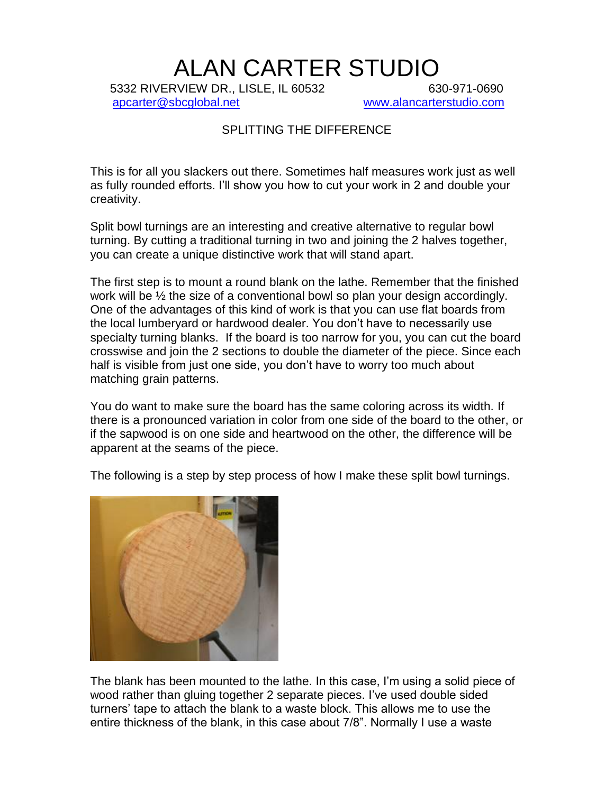## ALAN CARTER STUDIO

5332 RIVERVIEW DR., LISLE, IL 60532 630-971-0690 [apcarter@sbcglobal.net](mailto:apcarter@sbcglobal.net) [www.alancarterstudio.com](http://www.alancarterstudio.com/)

## SPLITTING THE DIFFERENCE

This is for all you slackers out there. Sometimes half measures work just as well as fully rounded efforts. I'll show you how to cut your work in 2 and double your creativity.

Split bowl turnings are an interesting and creative alternative to regular bowl turning. By cutting a traditional turning in two and joining the 2 halves together, you can create a unique distinctive work that will stand apart.

The first step is to mount a round blank on the lathe. Remember that the finished work will be ½ the size of a conventional bowl so plan your design accordingly. One of the advantages of this kind of work is that you can use flat boards from the local lumberyard or hardwood dealer. You don't have to necessarily use specialty turning blanks. If the board is too narrow for you, you can cut the board crosswise and join the 2 sections to double the diameter of the piece. Since each half is visible from just one side, you don't have to worry too much about matching grain patterns.

You do want to make sure the board has the same coloring across its width. If there is a pronounced variation in color from one side of the board to the other, or if the sapwood is on one side and heartwood on the other, the difference will be apparent at the seams of the piece.





The blank has been mounted to the lathe. In this case, I'm using a solid piece of wood rather than gluing together 2 separate pieces. I've used double sided turners' tape to attach the blank to a waste block. This allows me to use the entire thickness of the blank, in this case about 7/8". Normally I use a waste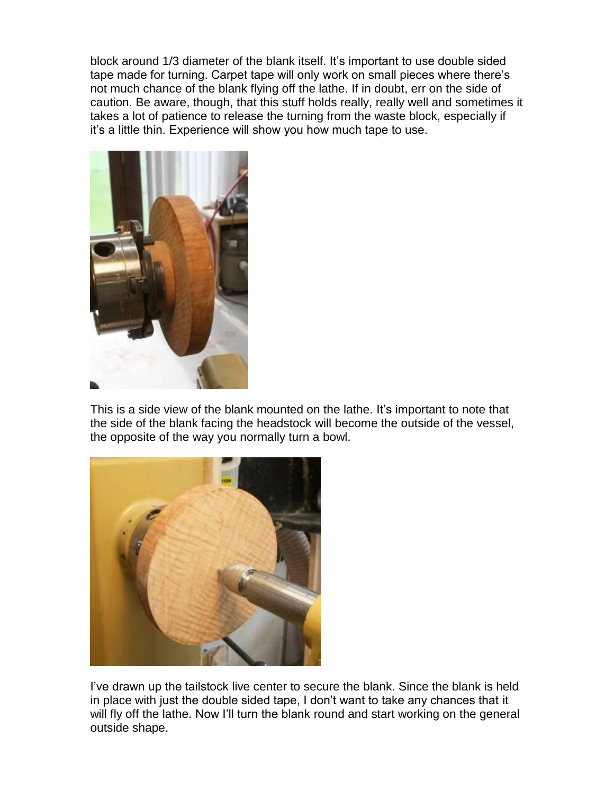block around 1/3 diameter of the blank itself. It's important to use double sided tape made for turning. Carpet tape will only work on small pieces where there's not much chance of the blank flying off the lathe. If in doubt, err on the side of caution. Be aware, though, that this stuff holds really, really well and sometimes it takes a lot of patience to release the turning from the waste block, especially if it's a little thin. Experience will show you how much tape to use.



This is a side view of the blank mounted on the lathe. It's important to note that the side of the blank facing the headstock will become the outside of the vessel, the opposite of the way you normally turn a bowl.



I've drawn up the tailstock live center to secure the blank. Since the blank is held in place with just the double sided tape, I don't want to take any chances that it will fly off the lathe. Now I'll turn the blank round and start working on the general outside shape.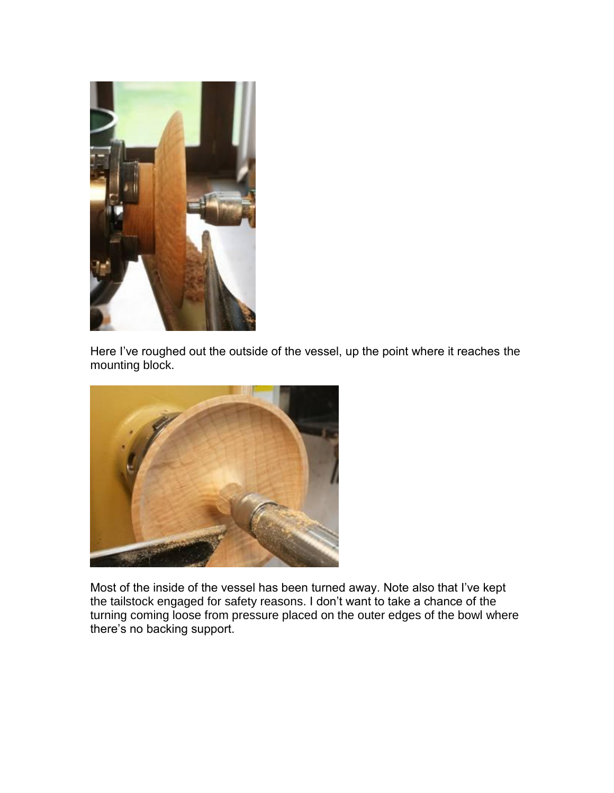

Here I've roughed out the outside of the vessel, up the point where it reaches the mounting block.



Most of the inside of the vessel has been turned away. Note also that I've kept the tailstock engaged for safety reasons. I don't want to take a chance of the turning coming loose from pressure placed on the outer edges of the bowl where there's no backing support.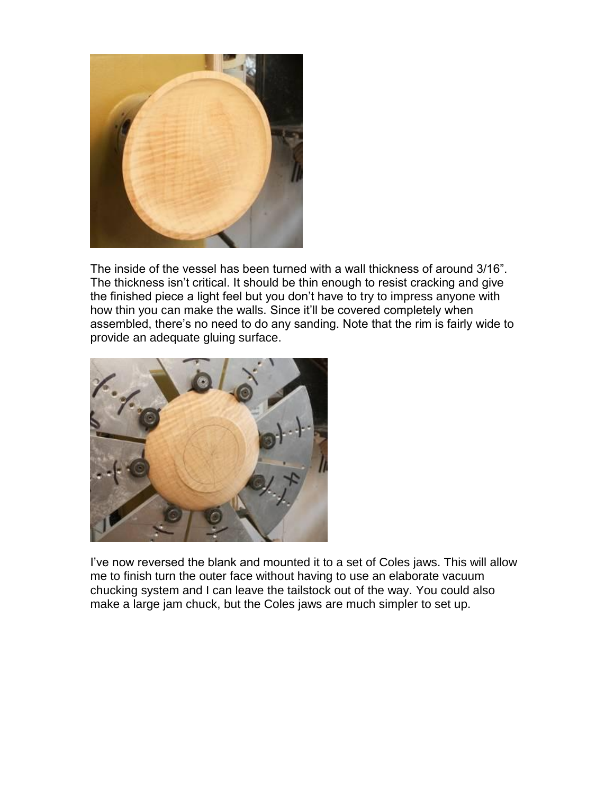

The inside of the vessel has been turned with a wall thickness of around 3/16". The thickness isn't critical. It should be thin enough to resist cracking and give the finished piece a light feel but you don't have to try to impress anyone with how thin you can make the walls. Since it'll be covered completely when assembled, there's no need to do any sanding. Note that the rim is fairly wide to provide an adequate gluing surface.



I've now reversed the blank and mounted it to a set of Coles jaws. This will allow me to finish turn the outer face without having to use an elaborate vacuum chucking system and I can leave the tailstock out of the way. You could also make a large jam chuck, but the Coles jaws are much simpler to set up.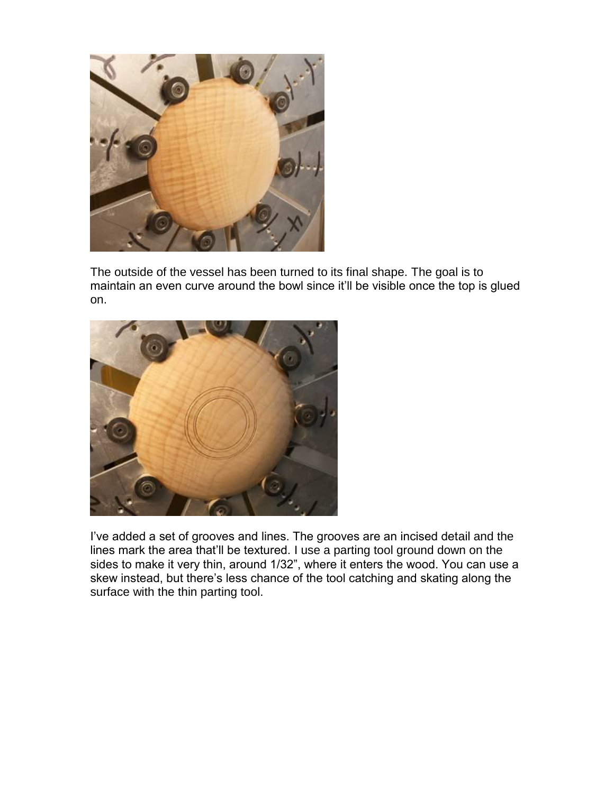

The outside of the vessel has been turned to its final shape. The goal is to maintain an even curve around the bowl since it'll be visible once the top is glued on.



I've added a set of grooves and lines. The grooves are an incised detail and the lines mark the area that'll be textured. I use a parting tool ground down on the sides to make it very thin, around 1/32", where it enters the wood. You can use a skew instead, but there's less chance of the tool catching and skating along the surface with the thin parting tool.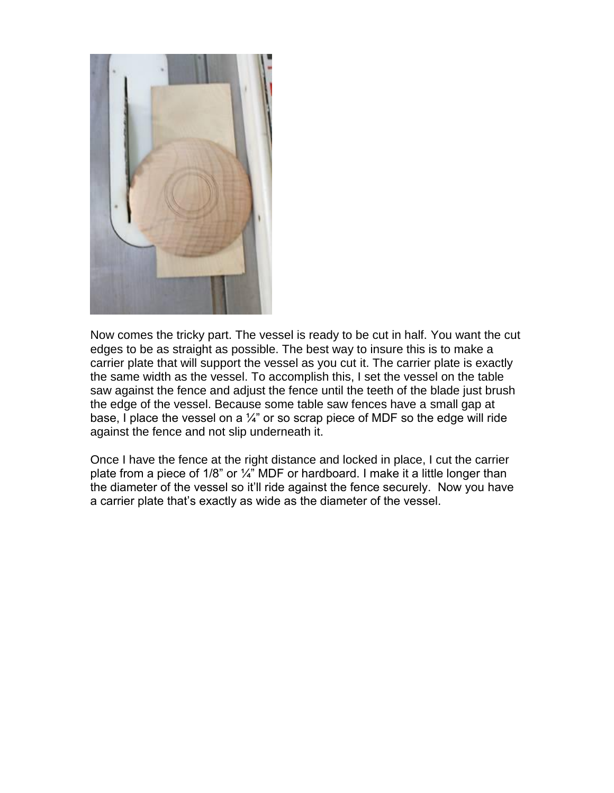

Now comes the tricky part. The vessel is ready to be cut in half. You want the cut edges to be as straight as possible. The best way to insure this is to make a carrier plate that will support the vessel as you cut it. The carrier plate is exactly the same width as the vessel. To accomplish this, I set the vessel on the table saw against the fence and adjust the fence until the teeth of the blade just brush the edge of the vessel. Because some table saw fences have a small gap at base, I place the vessel on a  $\frac{1}{4}$ " or so scrap piece of MDF so the edge will ride against the fence and not slip underneath it.

Once I have the fence at the right distance and locked in place, I cut the carrier plate from a piece of 1/8" or  $\frac{1}{4}$ " MDF or hardboard. I make it a little longer than the diameter of the vessel so it'll ride against the fence securely. Now you have a carrier plate that's exactly as wide as the diameter of the vessel.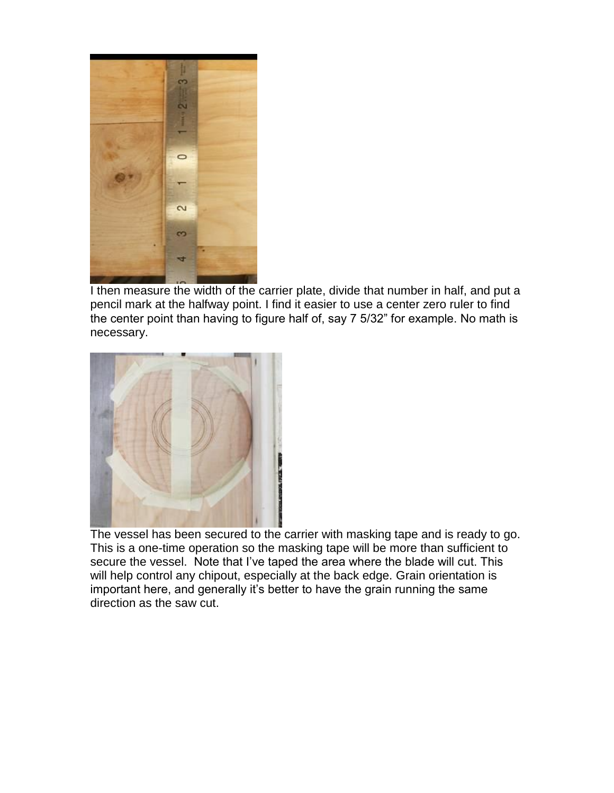

I then measure the width of the carrier plate, divide that number in half, and put a pencil mark at the halfway point. I find it easier to use a center zero ruler to find the center point than having to figure half of, say 7 5/32" for example. No math is necessary.



The vessel has been secured to the carrier with masking tape and is ready to go. This is a one-time operation so the masking tape will be more than sufficient to secure the vessel. Note that I've taped the area where the blade will cut. This will help control any chipout, especially at the back edge. Grain orientation is important here, and generally it's better to have the grain running the same direction as the saw cut.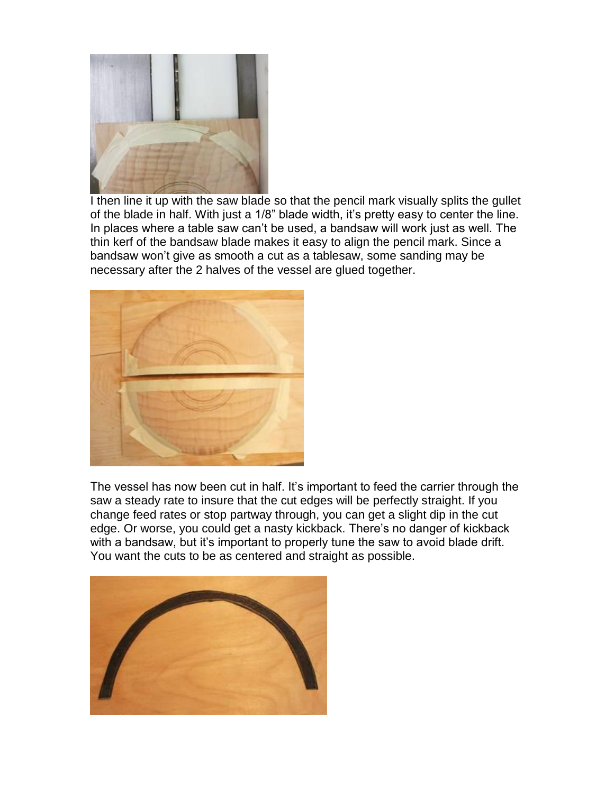

I then line it up with the saw blade so that the pencil mark visually splits the gullet of the blade in half. With just a 1/8" blade width, it's pretty easy to center the line. In places where a table saw can't be used, a bandsaw will work just as well. The thin kerf of the bandsaw blade makes it easy to align the pencil mark. Since a bandsaw won't give as smooth a cut as a tablesaw, some sanding may be necessary after the 2 halves of the vessel are glued together.



The vessel has now been cut in half. It's important to feed the carrier through the saw a steady rate to insure that the cut edges will be perfectly straight. If you change feed rates or stop partway through, you can get a slight dip in the cut edge. Or worse, you could get a nasty kickback. There's no danger of kickback with a bandsaw, but it's important to properly tune the saw to avoid blade drift. You want the cuts to be as centered and straight as possible.

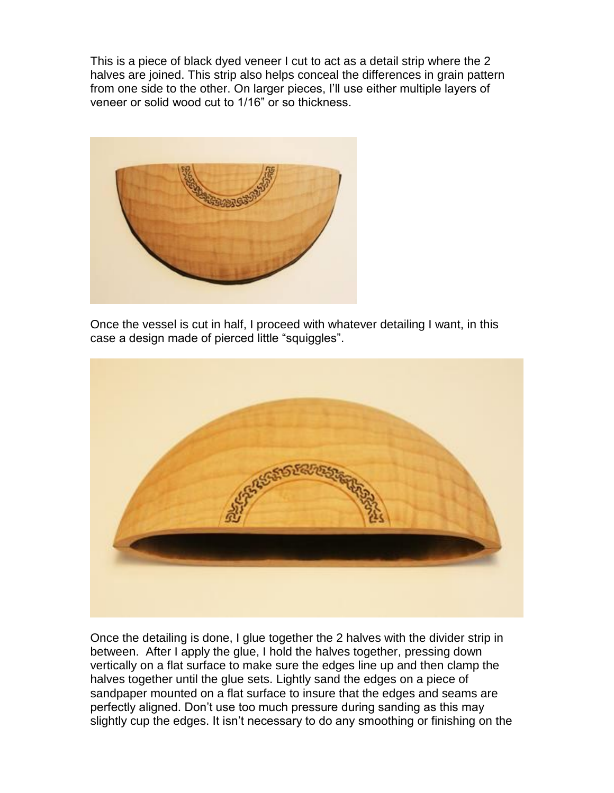This is a piece of black dyed veneer I cut to act as a detail strip where the 2 halves are joined. This strip also helps conceal the differences in grain pattern from one side to the other. On larger pieces, I'll use either multiple layers of veneer or solid wood cut to 1/16" or so thickness.



Once the vessel is cut in half, I proceed with whatever detailing I want, in this case a design made of pierced little "squiggles".



Once the detailing is done, I glue together the 2 halves with the divider strip in between. After I apply the glue, I hold the halves together, pressing down vertically on a flat surface to make sure the edges line up and then clamp the halves together until the glue sets. Lightly sand the edges on a piece of sandpaper mounted on a flat surface to insure that the edges and seams are perfectly aligned. Don't use too much pressure during sanding as this may slightly cup the edges. It isn't necessary to do any smoothing or finishing on the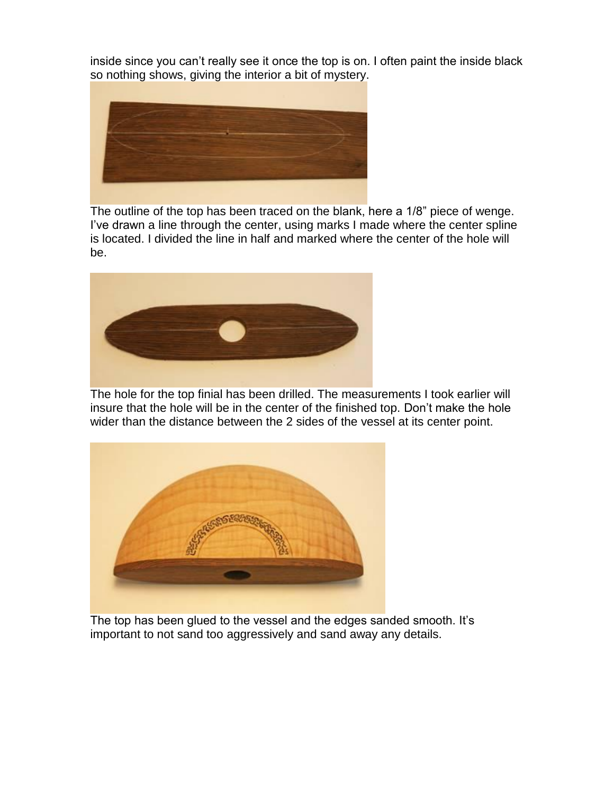inside since you can't really see it once the top is on. I often paint the inside black so nothing shows, giving the interior a bit of mystery.



The outline of the top has been traced on the blank, here a 1/8" piece of wenge. I've drawn a line through the center, using marks I made where the center spline is located. I divided the line in half and marked where the center of the hole will be.



The hole for the top finial has been drilled. The measurements I took earlier will insure that the hole will be in the center of the finished top. Don't make the hole wider than the distance between the 2 sides of the vessel at its center point.



The top has been glued to the vessel and the edges sanded smooth. It's important to not sand too aggressively and sand away any details.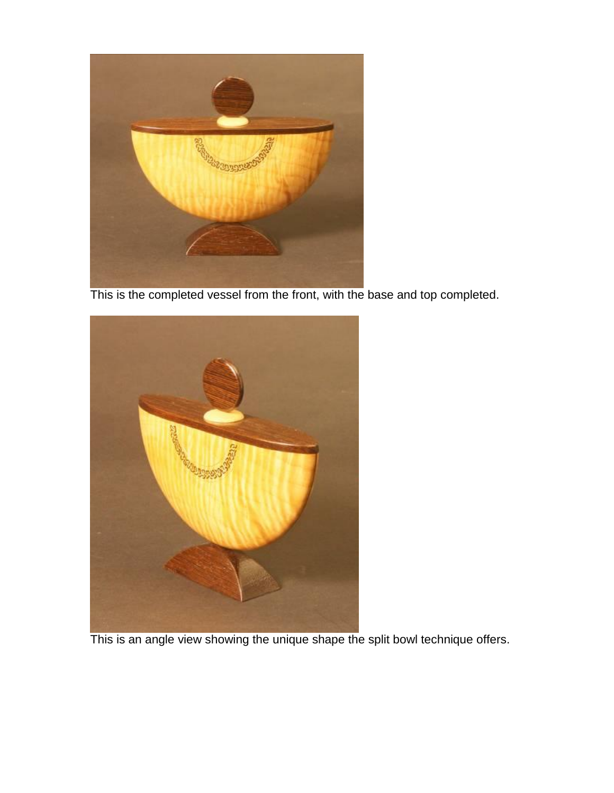

This is the completed vessel from the front, with the base and top completed.



This is an angle view showing the unique shape the split bowl technique offers.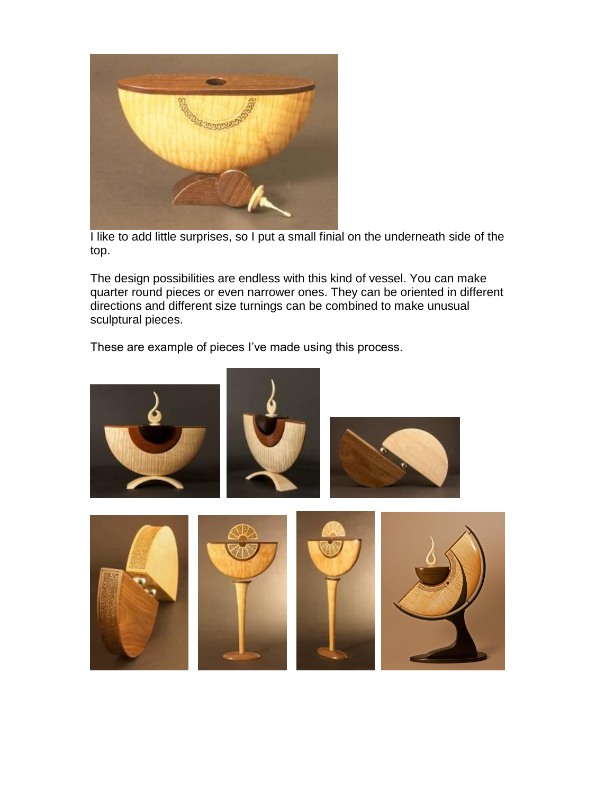

I like to add little surprises, so I put a small finial on the underneath side of the top.

The design possibilities are endless with this kind of vessel. You can make quarter round pieces or even narrower ones. They can be oriented in different directions and different size turnings can be combined to make unusual sculptural pieces.

These are example of pieces I've made using this process.